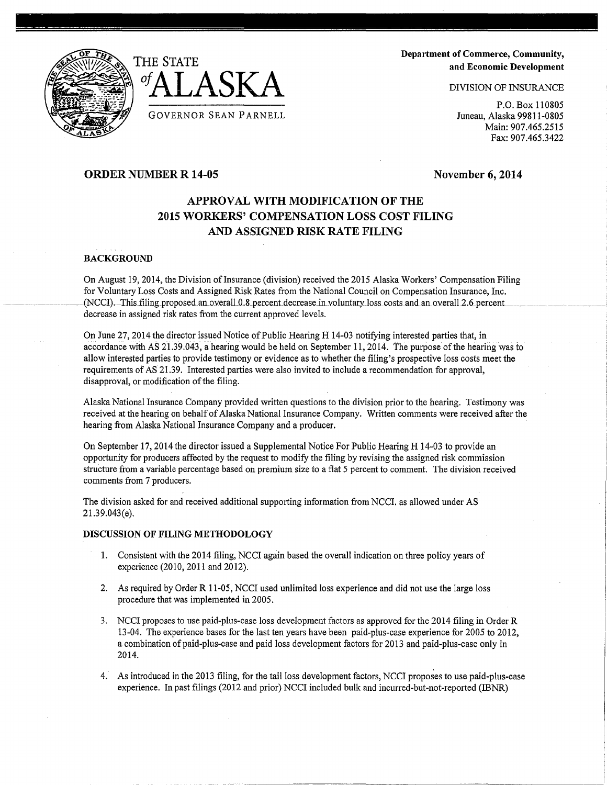



------ ----- -- -

Department of Commerce, Community, and Economic Development

DIVISION OF INSURANCE

P.O. Box 110805 Juneau, Alaska 99811-0805 Main: 907.465.2515 Fax: 907.465.3422

# ORDER NUMBER R 14-05

November 6, 2014

# APPROVAL WITH MODIFICATION OF THE 2015 WORKERS' COMPENSATION LOSS COST FILING AND ASSIGNED RISK RATE FILING

# **BACKGROUND**

On August 19, 2014, the Division of Insurance (division) received the 2015 Alaska Workers' Compensation Filing for Voluntary Loss Costs and Assigned Risk Rates from the National Council on Compensation Insurance, Inc. (NCCI). This filing proposed an overall 0.8 percent decrease in voluntary loss costs and an overall 2.6 percent decrease in assigned risk rates from the current approved levels.

On June 27, 2014 the director issued Notice of Public Hearing H 14-03 notifying interested parties that, in accordance with AS 21.39.043, a hearing would be held on September 11, 2014. The purpose of the hearing was to allow interested parties to provide testimony or evidence as to whether the filing's prospective loss costs meet the requirements of AS 21.39. Interested parties were also invited to include a recommendation for approval, disapproval, or modification of the filing.

Alaska National Insurance Company provided written questions to the division prior to the hearing. Testimony was received at the hearing on behalf of Alaska National Insurance Company. Written comments were received after the hearing from Alaska National Insurance Company and a producer.

On September 17, 2014 the director issued a Supplemental Notice For Public Hearing H 14-03 to provide an opportunity for producers affected by the request to modify the filing by revising the assigned risk commission structure from a variable percentage based on premium size to a flat 5 percent to comment. The division received comments from 7 producers.

The division asked for and received additional supporting information from NCCI. as allowed under AS 21.39.043(e).

## DISCUSSION OF FILING METHODOLOGY

- 1. Consistent with the 2014 filing, NCCI again based the overall indication on three policy years of experience (2010, 2011 and 2012).
- 2. As required by Order R 11-05, NCCI used unlimited loss experience and did not use the large loss procedure that was implemented in 2005.
- 3. NCCI proposes to use paid-plus-case loss development factors as approved for the 2014 filing in Order R 13-04. The experience bases for the last ten years have been paid-plus-case experience for 2005 to 2012, a combination of paid-plus-case and paid loss development factors for 2013 and paid-plus-case only in 2014.
- 4. As introduced in the 2013 filing, for the tail loss development factors, NCCI proposes to use paid-plus-case experience. In past filings (2012 and prior) NCCI included bulk and incurred-but-not-reported (IBNR)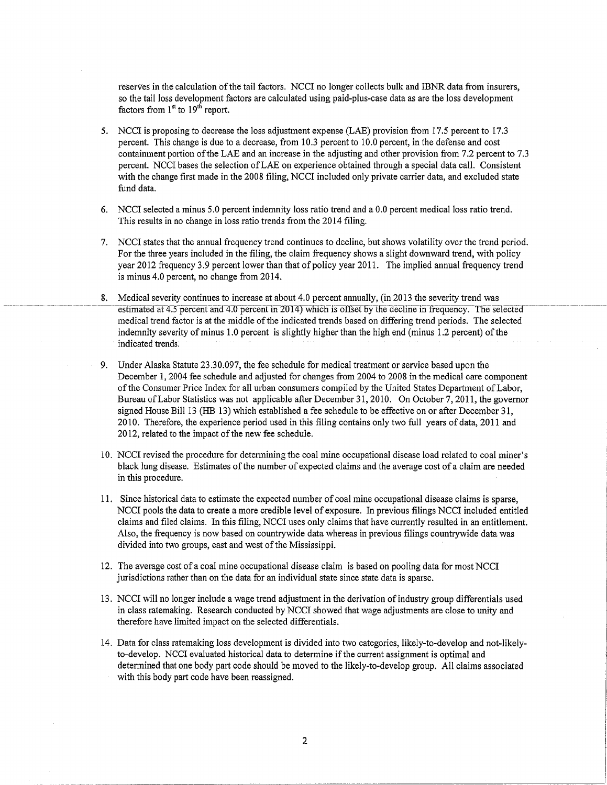reserves in the calculation of the tail factors. NCCI no longer collects bulk and IBNR data from insurers, so the tail loss development factors are calculated using paid-plus-case data as are the loss development factors from  $1<sup>st</sup>$  to  $19<sup>th</sup>$  report.

- 5. NCCI is proposing to decrease the loss adjustment expense (LAE) provision from 17.5 percent to 17.3 percent. This change is due to a decrease, from 10.3 percent to 10.0 percent, in the defense and cost containment portion of the LAE and an increase in the adjusting and other provision from 7.2 percent to 7.3 percent. NCCI bases the selection ofLAE on experience obtained through a special data call. Consistent with the change first made in the 2008 filing, NCCI included only private carrier data, and excluded state fund data.
- 6. NCCI selected a minus 5.0 percent indemnity loss ratio trend and a 0.0 percent medical loss ratio trend. This results in no change in loss ratio trends from the 2014 filing.
- 7. NCCI states that the annual frequency trend continues to decline, but shows volatility over the trend period. For the three years included in the filing, the claim frequency shows a slight downward trend, with policy year 2012 frequency 3 .9 percent lower than that of policy year 2011. The implied annual frequency trend is minus 4.0 percent, no change from 2014.
- 8. Medical severity continues to increase at about 4.0 percent annually, (in 2013 the severity trend was estimated at 4.5 percent and 4.0 percent in 2014) which is offset by the decline in frequency. The selected medical trend factor is at the middle of the indicated trends based on differing trend periods. The selected indemnity severity of minus 1.0 percent is slightly higher than the high end (minus 1.2 percent) of the indicated trends.
- 9. Under Alaska Statute 23.30.097, the fee schedule for medical treatment or service based upon the December 1, 2004 fee schedule and adjusted for changes from 2004 to 2008 in the medical care component of the Consumer Price Index for all urban consumers compiled by the United States Department of Labor, Bureau of Labor Statistics was not applicable after December 31, 2010. On October 7, 2011, the governor signed House Bill 13 (HB 13) which established a fee schedule to be effective on or after December 31, 2010. Therefore, the experience period used in this filing contains only two full years of data, 2011 and 2012, related to the impact of the new fee schedule.
- 10. NCCI revised the procedure for determining the coal mine occupational disease load related to coal miner's black lung disease. Estimates of the number of expected claims and the average cost of a claim are needed in this procedure.
- 11. Since historical data to estimate the expected number of coal mine occupational disease claims is sparse, NCCI pools the data to create a more credible level of exposure. In previous filings NCCI included entitled claims and filed claims. In this filing, NCCI uses only claims that have currently resulted in an entitlement. Also, the frequency is now based on countrywide data whereas in previous filings countrywide data was divided into two groups, east and west of the Mississippi.
- 12. The average cost of a coal mine occupational disease claim is based on pooling data for most NCCI jurisdictions rather than on the data for an individual state since state data is sparse.
- 13. NCCI will no longer include a wage trend adjustment in the derivation of industry group differentials used in class ratemaking. Research conducted by NCCI showed that wage adjustments are close to unity and therefore have limited impact on the selected differentials.
- 14. Data for class ratemaking loss development is divided into two categories, likely-to-develop and not-likelyto-develop. NCCI evaluated historical data to determine if the current assignment is optimal and determined that one body part code should be moved to the likely-to-develop group. All claims associated with this body part code have been reassigned.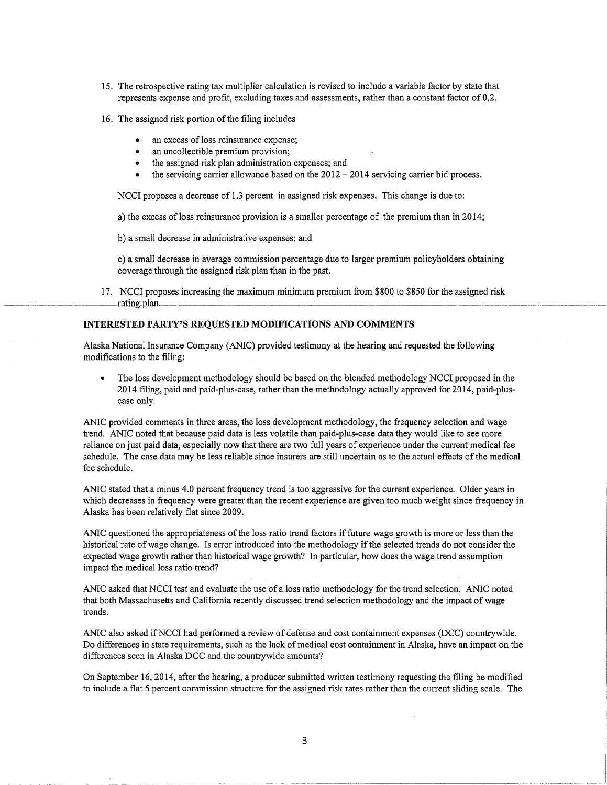- 15. The retrospective rating tax multiplier calculation is revised to include a variable factor by state that represents expense and profit, excluding taxes and assessments, rather than a constant factor of 0.2.
- 16. The assigned risk portion of the filing includes
	- an excess of loss reinsurance expense;
	- an uncollectible premium provision;
	- the assigned risk plan administration expenses; and
	- $\bullet$  the servicing carrier allowance based on the 2012 2014 servicing carrier bid process.

NCCI proposes a decrease of 1.3 percent in assigned risk expenses. This change is due to:

a) the excess ofloss reinsurance provision is a smaller percentage of the premium than in 2014;

b) a small decrease in administrative expenses; and

c) a small decrease in average commission percentage due to larger premium policyholders obtaining coverage through the assigned risk plan than in the past.

17. NCCI proposes increasing the maximum minimum premium from \$800 to \$850 for the assigned risk --- - --------------------rating-plan.----------------- --------------------------------------------------- -- -------------- ---------- -------- ---------- -

# **INTERESTED PARTY'S REQUESTED MODIFICATIONS AND COMMENTS**

Alaska National Insurance Company (ANIC) provided testimony at the hearing and requested the following modifications to the filing:

• The loss development methodology should be based on the blended methodology NCCI proposed in the 2014 filing, paid and paid-plus-case, rather than the methodology actually approved for 2014, paid-pluscase only.

ANIC provided comments in three areas, the loss development methodology, the frequency selection and wage trend. ANIC noted that because paid data is less volatile than paid-plus-case data they would like to see more reliance on just paid data, especially now that there are two full years of experience under the current medical fee schedule. The case data may be less reliable since insurers are still uncertain as to the actual effects of the medical fee schedule.

ANIC stated that a minus 4.0 percent frequency trend is too aggressive for the current experience. Older years in which decreases in frequency were greater than the recent experience are given too much weight since frequency in Alaska has been relatively flat since 2009.

ANIC questioned the appropriateness of the loss ratio trend factors if future wage growth is more or less than the historical rate of wage change. Is error introduced into the methodology ifthe selected trends do not consider the expected wage growth rather than historical wage growth? In particular, how does the wage trend assumption impact the medical loss ratio trend?

ANIC asked that NCCI test and evaluate the use of a loss ratio methodology for the trend selection. ANIC noted that both Massachusetts and California recently discussed trend selection methodology and the impact of wage trends.

ANIC also asked ifNCCI had performed a review of defense and cost containment expenses (DCC) countrywide. Do differences in state requirements, such as the lack of medical cost containment in Alaska, have an impact on the differences seen in Alaska DCC and the countrywide amounts?

On September 16, 2014, after the hearing, a producer submitted written testimony requesting the filing be modified to include a flat 5 percent commission structure for the assigned risk rates rather than the current sliding scale. The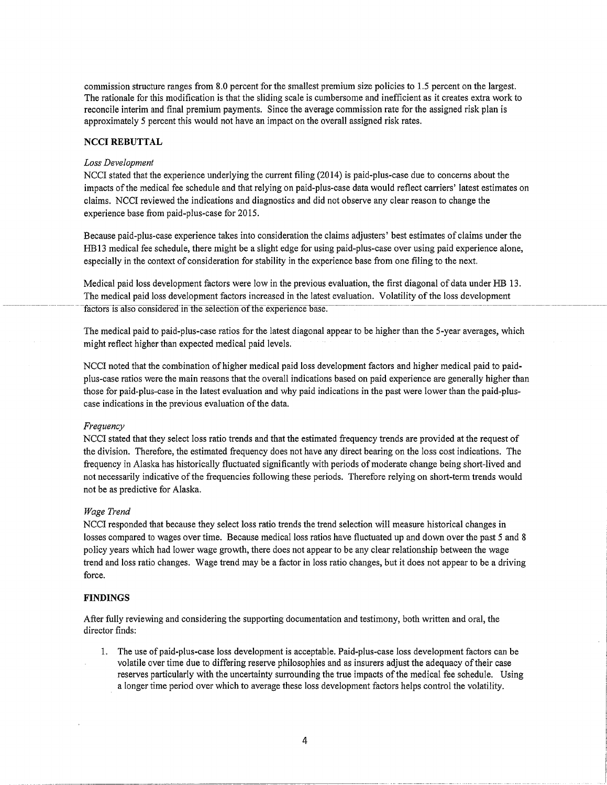commission structure ranges from 8.0 percent for the smallest premium size policies to 1.5 percent on the largest. The rationale for this modification is that the sliding scale is cumbersome and inefficient as it creates extra work to reconcile interim and final premium payments. Since the average commission rate for the assigned risk plan is approximately 5 percent this would not have an impact on the overall assigned risk rates.

## **NCCI REBUTTAL**

#### **Loss Development**

NCCI stated that the experience underlying the current filing (2014) is paid-plus-case due to concerns about the impacts of the medical fee schedule and that relying on paid-plus-case data would reflect carriers' latest estimates on claims. NCCI reviewed the indications and diagnostics and did not observe any clear reason to change the experience base from paid-plus-case for 2015.

Because paid-plus-case experience takes into consideration the claims adjusters' best estimates of claims under the HB13 medical fee schedule, there might be a slight edge for using paid-plus-case over using paid experience alone, especially in the context of consideration for stability in the experience base from one filing to the next.

Medical paid loss development factors were low in the previous evaluation, the first diagonal of data under HB 13. The medical paid loss development factors increased in the latest evaluation. Volatility of the loss development factors is also considered in the selection of the experience base.

The medical paid to paid-plus-case ratios for the latest diagonal appear to be higher than the 5-year averages, which might reflect higher than expected medical paid levels.

NCCI noted that the combination of higher medical paid loss development factors and higher medical paid to paidplus-case ratios were the main reasons that the overall indications based on paid experience are generally higher than those for paid-plus-case in the latest evaluation and why paid indications in the past were lower than the paid-pluscase indications in the previous evaluation of the data.

## Frequency

NCCI stated that they select loss ratio trends and that the estimated frequency trends are provided at the request of the division. Therefore, the estimated frequency does not have any direct bearing on the loss cost indications. The frequency in Alaska has historically fluctuated significantly with periods of moderate change being short-lived and not necessarily indicative of the frequencies following these periods. Therefore relying on short-term trends would not be as predictive for Alaska.

## Wage Trend

NCCI responded that because they select loss ratio trends the trend selection will measure historical changes in losses compared to wages over time. Because medical loss ratios have fluctuated up and down over the past 5 and 8 policy years which had lower wage growth, there does not appear to be any clear relationship between the wage trend and loss ratio changes. Wage trend may be a factor in loss ratio changes, but it does not appear to be a driving force.

## **FINDINGS**

After fully reviewing and considering the supporting documentation and testimony, both written and oral, the director finds:

1. The use of paid-plus-case loss development is acceptable. Paid-plus-case loss development factors can be volatile over time due to differing reserve philosophies and as insurers adjust the adequacy of their case reserves particularly with the uncertainty surrounding the true impacts of the medical fee schedule. Using a longer time period over which to average these loss development factors helps control the volatility.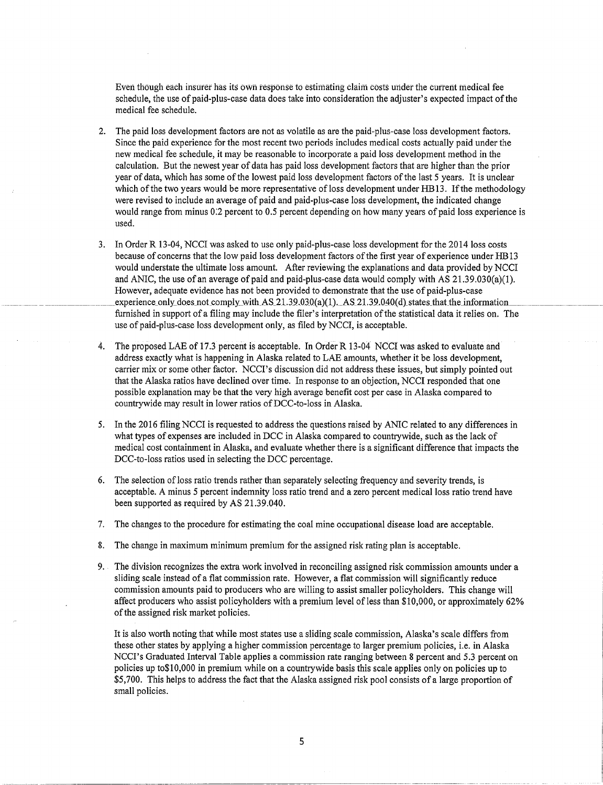Even though each insurer has its own response to estimating claim costs under the current medical fee schedule, the use of paid-plus-case data does take into consideration the adjuster's expected impact of the medical fee schedule.

- 2. The paid loss development factors are not as volatile as are the paid-plus-case loss development factors. Since the paid experience for the most recent two periods includes medical costs actually paid under the new medical fee schedule, it may be reasonable to incorporate a paid loss development method in the calculation. But the newest year of data has paid loss development factors that are higher than the prior year of data, which has some of the lowest paid loss development factors of the last 5 years. It is unclear which of the two years would be more representative of loss development under HB13. If the methodology were revised to include an average of paid and paid-plus-case loss development, the indicated change would range from minus *0:2* percent to 0.5 percent depending on how many years of paid loss experience is used.
- 3. In Order R 13-04, NCCI was asked to use only paid-plus-case loss development for the 2014 loss costs because of concerns that the low paid loss development factors of the first year of experience under RB 13 would understate the ultimate loss amount. After reviewing the explanations and data provided by NCCI and ANIC, the use of an average of paid and paid-plus-case data would comply with AS 21.39.030(a)(l). However, adequate evidence has not been provided to demonstrate that the use of paid-plus-case experience\_only\_does\_not comply\_with\_AS\_21.39.030(a)(1).\_AS\_21.39.040(d)\_states\_that\_the\_information\_ furnished in support of a filing may include the filer's interpretation of the statistical data it relies on. The use of paid-plus-case loss development only, as filed by NCCI, is acceptable.
- 4. The proposed LAE of 17.3 percent is acceptable. In Order R 13-04 NCCI was asked to evaluate and address exactly what is happening in Alaska related to LAE amounts, whether it be loss development, carrier mix or some other factor. NCCI's discussion did not address these issues, but simply pointed out that the Alaska ratios have declined over time. In response to an objection, NCCI responded that one possible explanation may be that the very high average benefit cost per case in Alaska compared to countrywide may result in lower ratios of DCC-to-loss in Alaska.
- 5. In the 2016 filing NCCI is requested to address the questions raised by ANIC related to any differences in what types of expenses are included in DCC in Alaska compared to countrywide, such as the lack of medical cost containment in Alaska, and evaluate whether there is a significant difference that impacts the DCC-to-loss ratios used in selecting the DCC percentage.
- 6. The selection ofloss ratio trends rather than separately selecting frequency and severity trends, is acceptable. A minus 5 percent indemnity loss ratio trend and a zero percent medical loss ratio trend have been supported as required by AS 21.39.040.
- 7. The changes to the procedure for estimating the coal mine occupational disease load are acceptable.
- 8. The change in maximum minimum premium for the assigned risk rating plan is acceptable.
- 9. The division recognizes the extra work involved in reconciling assigned risk commission amounts under a sliding scale instead of a flat commission rate. However, a flat commission will significantly reduce commission amounts paid to producers who are willing to assist smaller policyholders. This change will affect producers who assist policyholders with a premium level ofless than \$10,000, or approximately 62% of the assigned risk market policies.

It is also worth noting that while most states use a sliding scale commission, Alaska's scale differs from these other states by applying a higher commission percentage to larger premium policies, i.e. in Alaska NCCI's Graduated Interval Table applies a commission rate ranging between 8 percent and 5.3 percent on policies up to\$10,000 in premium while on a countrywide basis this scale applies only on policies up to \$5,700. This helps to address the fact that the Alaska assigned risk pool consists of a large proportion of small policies.